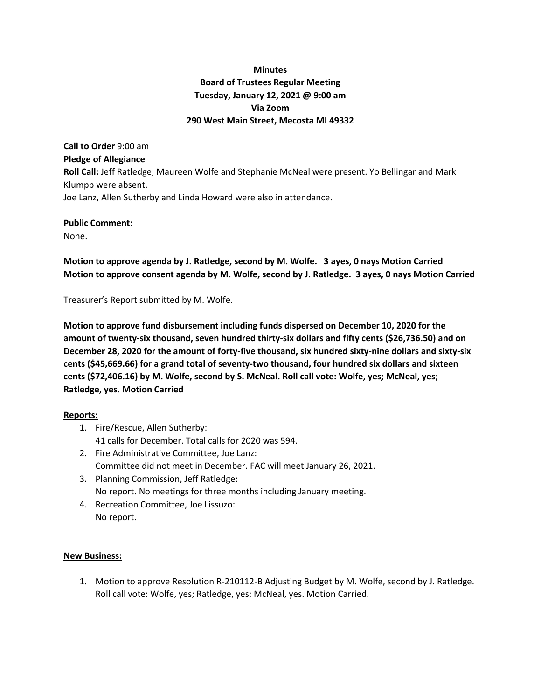# **Minutes Board of Trustees Regular Meeting Tuesday, January 12, 2021 @ 9:00 am Via Zoom 290 West Main Street, Mecosta MI 49332**

**Call to Order** 9:00 am **Pledge of Allegiance Roll Call:** Jeff Ratledge, Maureen Wolfe and Stephanie McNeal were present. Yo Bellingar and Mark Klumpp were absent. Joe Lanz, Allen Sutherby and Linda Howard were also in attendance.

#### **Public Comment:** None.

**Motion to approve agenda by J. Ratledge, second by M. Wolfe. 3 ayes, 0 nays Motion Carried Motion to approve consent agenda by M. Wolfe, second by J. Ratledge. 3 ayes, 0 nays Motion Carried**

Treasurer's Report submitted by M. Wolfe.

**Motion to approve fund disbursement including funds dispersed on December 10, 2020 for the amount of twenty-six thousand, seven hundred thirty-six dollars and fifty cents (\$26,736.50) and on December 28, 2020 for the amount of forty-five thousand, six hundred sixty-nine dollars and sixty-six cents (\$45,669.66) for a grand total of seventy-two thousand, four hundred six dollars and sixteen cents (\$72,406.16) by M. Wolfe, second by S. McNeal. Roll call vote: Wolfe, yes; McNeal, yes; Ratledge, yes. Motion Carried**

# **Reports:**

- 1. Fire/Rescue, Allen Sutherby: 41 calls for December. Total calls for 2020 was 594.
- 2. Fire Administrative Committee, Joe Lanz: Committee did not meet in December. FAC will meet January 26, 2021.
- 3. Planning Commission, Jeff Ratledge: No report. No meetings for three months including January meeting.
- 4. Recreation Committee, Joe Lissuzo: No report.

# **New Business:**

1. Motion to approve Resolution R-210112-B Adjusting Budget by M. Wolfe, second by J. Ratledge. Roll call vote: Wolfe, yes; Ratledge, yes; McNeal, yes. Motion Carried.